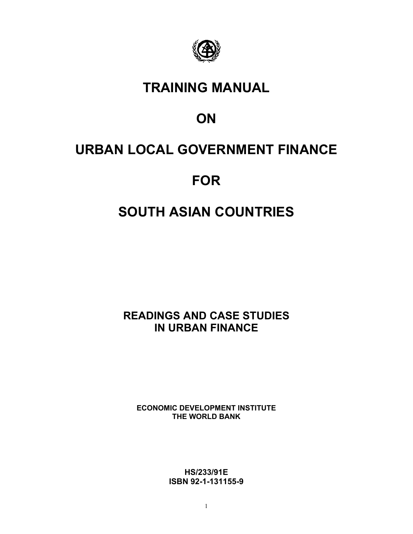

# **TRAINING MANUAL**

# **ON**

# **URBAN LOCAL GOVERNMENT FINANCE**

# **FOR**

# **SOUTH ASIAN COUNTRIES**

**READINGS AND CASE STUDIES IN URBAN FINANCE**

**ECONOMIC DEVELOPMENT INSTITUTE THE WORLD BANK**

> **HS/233/91E ISBN 92-1-131155-9**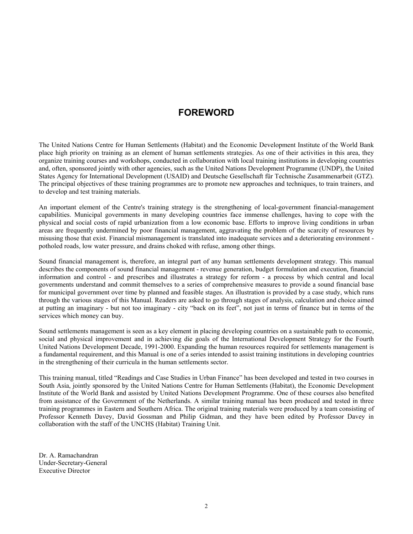## **FOREWORD**

The United Nations Centre for Human Settlements (Habitat) and the Economic Development Institute of the World Bank place high priority on training as an element of human settlements strategies. As one of their activities in this area, they organize training courses and workshops, conducted in collaboration with local training institutions in developing countries and, often, sponsored jointly with other agencies, such as the United Nations Development Programme (UNDP), the United States Agency for International Development (USAID) and Deutsche Gesellschaft für Technische Zusammenarbeit (GTZ). The principal objectives of these training programmes are to promote new approaches and techniques, to train trainers, and to develop and test training materials.

An important element of the Centre's training strategy is the strengthening of local-government financial-management capabilities. Municipal governments in many developing countries face immense challenges, having to cope with the physical and social costs of rapid urbanization from a low economic base. Efforts to improve living conditions in urban areas are frequently undermined by poor financial management, aggravating the problem of the scarcity of resources by misusing those that exist. Financial mismanagement is translated into inadequate services and a deteriorating environment potholed roads, low water pressure, and drains choked with refuse, among other things.

Sound financial management is, therefore, an integral part of any human settlements development strategy. This manual describes the components of sound financial management - revenue generation, budget formulation and execution, financial information and control - and prescribes and illustrates a strategy for reform - a process by which central and local governments understand and commit themselves to a series of comprehensive measures to provide a sound financial base for municipal government over time by planned and feasible stages. An illustration is provided by a case study, which runs through the various stages of this Manual. Readers are asked to go through stages of analysis, calculation and choice aimed at putting an imaginary - but not too imaginary - city "back on its feet", not just in terms of finance but in terms of the services which money can buy.

Sound settlements management is seen as a key element in placing developing countries on a sustainable path to economic, social and physical improvement and in achieving die goals of the International Development Strategy for the Fourth United Nations Development Decade, 1991-2000. Expanding the human resources required for settlements management is a fundamental requirement, and this Manual is one of a series intended to assist training institutions in developing countries in the strengthening of their curricula in the human settlements sector.

This training manual, titled "Readings and Case Studies in Urban Finance" has been developed and tested in two courses in South Asia, jointly sponsored by the United Nations Centre for Human Settlements (Habitat), the Economic Development Institute of the World Bank and assisted by United Nations Development Programme. One of these courses also benefited from assistance of the Government of the Netherlands. A similar training manual has been produced and tested in three training programmes in Eastern and Southern Africa. The original training materials were produced by a team consisting of Professor Kenneth Davey, David Gossman and Philip Gidman, and they have been edited by Professor Davey in collaboration with the staff of the UNCHS (Habitat) Training Unit.

Dr. A. Ramachandran Under-Secretary-General Executive Director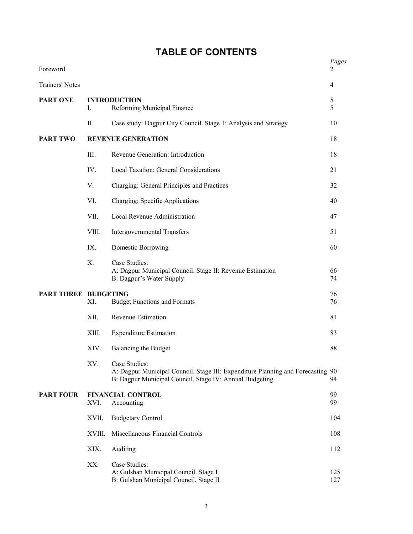| Foreword                    |        |                                                                                                                                                             | Pages<br>2     |
|-----------------------------|--------|-------------------------------------------------------------------------------------------------------------------------------------------------------------|----------------|
| Trainers' Notes             |        |                                                                                                                                                             | $\overline{4}$ |
| <b>PART ONE</b>             | I.     | <b>INTRODUCTION</b><br>Reforming Municipal Finance                                                                                                          | 5<br>5         |
|                             | Π.     | Case study: Dagpur City Council. Stage 1: Analysis and Strategy                                                                                             | 10             |
| <b>PART TWO</b>             |        | <b>REVENUE GENERATION</b>                                                                                                                                   | 18             |
|                             | III.   | Revenue Generation: Introduction                                                                                                                            | 18             |
|                             | IV.    | Local Taxation: General Considerations                                                                                                                      | 21             |
|                             | V.     | Charging: General Principles and Practices                                                                                                                  | 32             |
|                             | VI.    | Charging: Specific Applications                                                                                                                             | 40             |
|                             | VII.   | Local Revenue Administration                                                                                                                                | 47             |
|                             | VIII.  | <b>Intergovernmental Transfers</b>                                                                                                                          | 51             |
|                             | IX.    | Domestic Borrowing                                                                                                                                          | 60             |
|                             | X.     | Case Studies:<br>A: Dagpur Municipal Council. Stage II: Revenue Estimation<br>B: Dagpur's Water Supply                                                      | 66<br>74       |
| <b>PART THREE BUDGETING</b> |        |                                                                                                                                                             | 76             |
|                             | XI.    | <b>Budget Functions and Formats</b>                                                                                                                         | 76             |
|                             | XII.   | Revenue Estimation                                                                                                                                          | 81             |
|                             | XIII.  | <b>Expenditure Estimation</b>                                                                                                                               | 83             |
|                             | XIV.   | Balancing the Budget                                                                                                                                        | 88             |
|                             | XV.    | Case Studies:<br>A: Dagpur Municipal Council. Stage III: Expenditure Planning and Forecasting 90<br>B: Dagpur Municipal Council. Stage IV: Annual Budgeting | 94             |
| <b>PART FOUR</b>            | XVI.   | <b>FINANCIAL CONTROL</b><br>Accounting                                                                                                                      | 99<br>99       |
|                             | XVII.  | <b>Budgetary Control</b>                                                                                                                                    | 104            |
|                             | XVIII. | Miscellaneous Financial Controls                                                                                                                            | 108            |
|                             | XIX.   | Auditing                                                                                                                                                    | 112            |
|                             | XX.    | Case Studies:<br>A: Gulshan Municipal Council. Stage I<br>B: Gulshan Municipal Council. Stage II                                                            | 125<br>127     |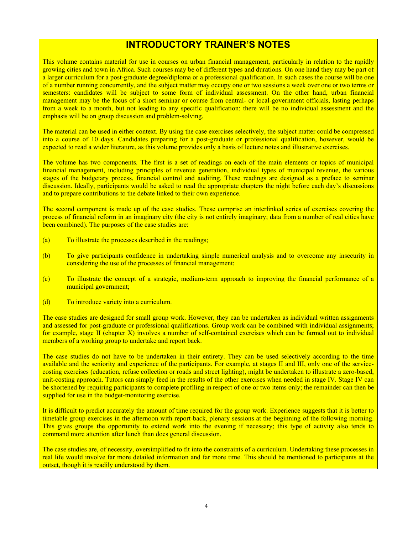## **INTRODUCTORY TRAINER'S NOTES**

This volume contains material for use in courses on urban financial management, particularly in relation to the rapidly growing cities and town in Africa. Such courses may be of different types and durations. On one hand they may be part of a larger curriculum for a post-graduate degree/diploma or a professional qualification. In such cases the course will be one of a number running concurrently, and the subject matter may occupy one or two sessions a week over one or two terms or semesters: candidates will be subject to some form of individual assessment. On the other hand, urban financial management may be the focus of a short seminar or course from central- or local-government officials, lasting perhaps from a week to a month, but not leading to any specific qualification: there will be no individual assessment and the emphasis will be on group discussion and problem-solving.

The material can be used in either context. By using the case exercises selectively, the subject matter could be compressed into a course of 10 days. Candidates preparing for a post-graduate or professional qualification, however, would be expected to read a wider literature, as this volume provides only a basis of lecture notes and illustrative exercises.

The volume has two components. The first is a set of readings on each of the main elements or topics of municipal financial management, including principles of revenue generation, individual types of municipal revenue, the various stages of the budgetary process, financial control and auditing. These readings are designed as a preface to seminar discussion. Ideally, participants would be asked to read the appropriate chapters the night before each day's discussions and to prepare contributions to the debate linked to their own experience.

The second component is made up of the case studies. These comprise an interlinked series of exercises covering the process of financial reform in an imaginary city (the city is not entirely imaginary; data from a number of real cities have been combined). The purposes of the case studies are:

- (a) To illustrate the processes described in the readings;
- (b) To give participants confidence in undertaking simple numerical analysis and to overcome any insecurity in considering the use of the processes of financial management;
- (c) To illustrate the concept of a strategic, medium-term approach to improving the financial performance of a municipal government;
- (d) To introduce variety into a curriculum.

The case studies are designed for small group work. However, they can be undertaken as individual written assignments and assessed for post-graduate or professional qualifications. Group work can be combined with individual assignments; for example, stage II (chapter X) involves a number of self-contained exercises which can be farmed out to individual members of a working group to undertake and report back.

The case studies do not have to be undertaken in their entirety. They can be used selectively according to the time available and the seniority and experience of the participants. For example, at stages II and III, only one of the servicecosting exercises (education, refuse collection or roads and street lighting), might be undertaken to illustrate a zero-based, unit-costing approach. Tutors can simply feed in the results of the other exercises when needed in stage IV. Stage IV can be shortened by requiring participants to complete profiling in respect of one or two items only; the remainder can then be supplied for use in the budget-monitoring exercise.

It is difficult to predict accurately the amount of time required for the group work. Experience suggests that it is better to timetable group exercises in the afternoon with report-back, plenary sessions at the beginning of the following morning. This gives groups the opportunity to extend work into the evening if necessary; this type of activity also tends to command more attention after lunch than does general discussion.

The case studies are, of necessity, oversimplified to fit into the constraints of a curriculum. Undertaking these processes in real life would involve far more detailed information and far more time. This should be mentioned to participants at the outset, though it is readily understood by them.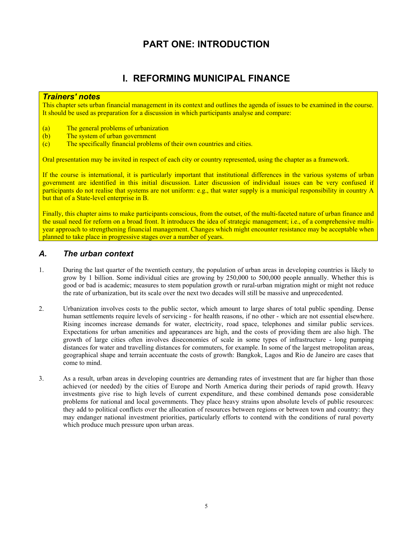# **PART ONE: INTRODUCTION**

# **I. REFORMING MUNICIPAL FINANCE**

#### *Trainers' notes*

This chapter sets urban financial management in its context and outlines the agenda of issues to be examined in the course. It should be used as preparation for a discussion in which participants analyse and compare:

- (a) The general problems of urbanization
- (b) The system of urban government
- (c) The specifically financial problems of their own countries and cities.

Oral presentation may be invited in respect of each city or country represented, using the chapter as a framework.

If the course is international, it is particularly important that institutional differences in the various systems of urban government are identified in this initial discussion. Later discussion of individual issues can be very confused if participants do not realise that systems are not uniform: e.g., that water supply is a municipal responsibility in country A but that of a State-level enterprise in B.

Finally, this chapter aims to make participants conscious, from the outset, of the multi-faceted nature of urban finance and the usual need for reform on a broad front. It introduces the idea of strategic management; i.e., of a comprehensive multiyear approach to strengthening financial management. Changes which might encounter resistance may be acceptable when planned to take place in progressive stages over a number of years.

## *A. The urban context*

- 1. During the last quarter of the twentieth century, the population of urban areas in developing countries is likely to grow by 1 billion. Some individual cities are growing by 250,000 to 500,000 people annually. Whether this is good or bad is academic; measures to stem population growth or rural-urban migration might or might not reduce the rate of urbanization, but its scale over the next two decades will still be massive and unprecedented.
- 2. Urbanization involves costs to the public sector, which amount to large shares of total public spending. Dense human settlements require levels of servicing - for health reasons, if no other - which are not essential elsewhere. Rising incomes increase demands for water, electricity, road space, telephones and similar public services. Expectations for urban amenities and appearances are high, and the costs of providing them are also high. The growth of large cities often involves diseconomies of scale in some types of infrastructure - long pumping distances for water and travelling distances for commuters, for example. In some of the largest metropolitan areas, geographical shape and terrain accentuate the costs of growth: Bangkok, Lagos and Rio de Janeiro are cases that come to mind.
- 3. As a result, urban areas in developing countries are demanding rates of investment that are far higher than those achieved (or needed) by the cities of Europe and North America during their periods of rapid growth. Heavy investments give rise to high levels of current expenditure, and these combined demands pose considerable problems for national and local governments. They place heavy strains upon absolute levels of public resources: they add to political conflicts over the allocation of resources between regions or between town and country: they may endanger national investment priorities, particularly efforts to contend with the conditions of rural poverty which produce much pressure upon urban areas.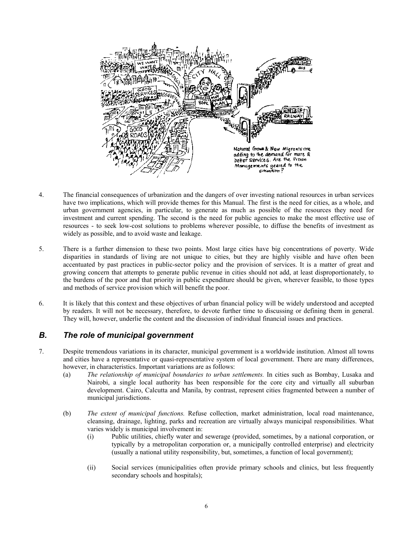

- 4. The financial consequences of urbanization and the dangers of over investing national resources in urban services have two implications, which will provide themes for this Manual. The first is the need for cities, as a whole, and urban government agencies, in particular, to generate as much as possible of the resources they need for investment and current spending. The second is the need for public agencies to make the most effective use of resources - to seek low-cost solutions to problems wherever possible, to diffuse the benefits of investment as widely as possible, and to avoid waste and leakage.
- 5. There is a further dimension to these two points. Most large cities have big concentrations of poverty. Wide disparities in standards of living are not unique to cities, but they are highly visible and have often been accentuated by past practices in public-sector policy and the provision of services. It is a matter of great and growing concern that attempts to generate public revenue in cities should not add, at least disproportionately, to the burdens of the poor and that priority in public expenditure should be given, wherever feasible, to those types and methods of service provision which will benefit the poor.
- 6. It is likely that this context and these objectives of urban financial policy will be widely understood and accepted by readers. It will not be necessary, therefore, to devote further time to discussing or defining them in general. They will, however, underlie the content and the discussion of individual financial issues and practices.

## *B. The role of municipal government*

- 7. Despite tremendous variations in its character, municipal government is a worldwide institution. Almost all towns and cities have a representative or quasi-representative system of local government. There are many differences, however, in characteristics. Important variations are as follows:
	- (a) *The relationship of municipal boundaries to urban settlements.* In cities such as Bombay, Lusaka and Nairobi, a single local authority has been responsible for the core city and virtually all suburban development. Cairo, Calcutta and Manila, by contrast, represent cities fragmented between a number of municipal jurisdictions.
	- (b) *The extent of municipal functions.* Refuse collection, market administration, local road maintenance, cleansing, drainage, lighting, parks and recreation are virtually always municipal responsibilities. What varies widely is municipal involvement in:
		- (i) Public utilities, chiefly water and sewerage (provided, sometimes, by a national corporation, or typically by a metropolitan corporation or, a municipally controlled enterprise) and electricity (usually a national utility responsibility, but, sometimes, a function of local government);
		- (ii) Social services (municipalities often provide primary schools and clinics, but less frequently secondary schools and hospitals);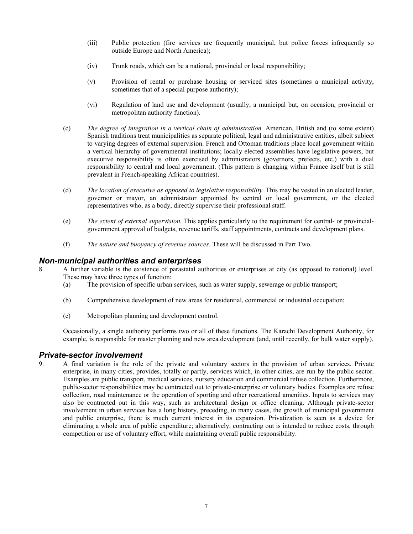- (iii) Public protection (fire services are frequently municipal, but police forces infrequently so outside Europe and North America);
- (iv) Trunk roads, which can be a national, provincial or local responsibility;
- (v) Provision of rental or purchase housing or serviced sites (sometimes a municipal activity, sometimes that of a special purpose authority);
- (vi) Regulation of land use and development (usually, a municipal but, on occasion, provincial or metropolitan authority function).
- (c) *The degree of integration in a vertical chain of administration.* American, British and (to some extent) Spanish traditions treat municipalities as separate political, legal and administrative entities, albeit subject to varying degrees of external supervision. French and Ottoman traditions place local government within a vertical hierarchy of governmental institutions; locally elected assemblies have legislative powers, but executive responsibility is often exercised by administrators (governors, prefects, etc.) with a dual responsibility to central and local government. (This pattern is changing within France itself but is still prevalent in French-speaking African countries).
- (d) The location of executive as opposed to legislative responsibility. This may be vested in an elected leader, governor or mayor, an administrator appointed by central or local government, or the elected representatives who, as a body, directly supervise their professional staff.
- (e) *The extent of external supervision.* This applies particularly to the requirement for central- or provincialgovernment approval of budgets, revenue tariffs, staff appointments, contracts and development plans.
- (f) *The nature and buoyancy of revenue sources*. These will be discussed in Part Two.

#### *Non-municipal authorities and enterprises*

- 8. A further variable is the existence of parastatal authorities or enterprises at city (as opposed to national) level. These may have three types of function:
	- (a) The provision of specific urban services, such as water supply, sewerage or public transport;
	- (b) Comprehensive development of new areas for residential, commercial or industrial occupation;
	- (c) Metropolitan planning and development control.

Occasionally, a single authority performs two or all of these functions. The Karachi Development Authority, for example, is responsible for master planning and new area development (and, until recently, for bulk water supply).

#### *Private-sector involvement*

9. A final variation is the role of the private and voluntary sectors in the provision of urban services. Private enterprise, in many cities, provides, totally or partly, services which, in other cities, are run by the public sector. Examples are public transport, medical services, nursery education and commercial refuse collection. Furthermore, public-sector responsibilities may be contracted out to private-enterprise or voluntary bodies. Examples are refuse collection, road maintenance or the operation of sporting and other recreational amenities. Inputs to services may also be contracted out in this way, such as architectural design or office cleaning. Although private-sector involvement in urban services has a long history, preceding, in many cases, the growth of municipal government and public enterprise, there is much current interest in its expansion. Privatization is seen as a device for eliminating a whole area of public expenditure; alternatively, contracting out is intended to reduce costs, through competition or use of voluntary effort, while maintaining overall public responsibility.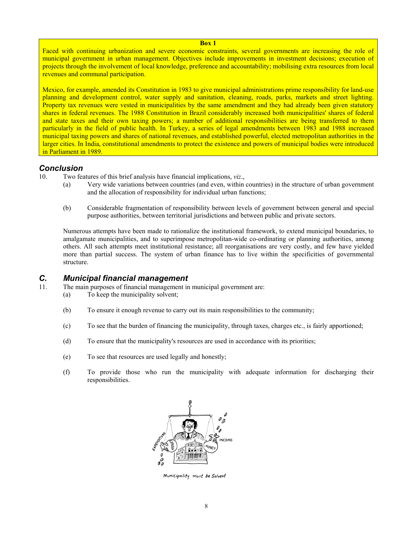**Box 1** 

Faced with continuing urbanization and severe economic constraints, several governments are increasing the role of municipal government in urban management. Objectives include improvements in investment decisions; execution of projects through the involvement of local knowledge, preference and accountability; mobilising extra resources from local revenues and communal participation.

Mexico, for example, amended its Constitution in 1983 to give municipal administrations prime responsibility for land-use planning and development control, water supply and sanitation, cleaning, roads, parks, markets and street lighting. Property tax revenues were vested in municipalities by the same amendment and they had already been given statutory shares in federal revenues. The 1988 Constitution in Brazil considerably increased both municipalities' shares of federal and state taxes and their own taxing powers; a number of additional responsibilities are being transferred to them particularly in the field of public health. In Turkey, a series of legal amendments between 1983 and 1988 increased municipal taxing powers and shares of national revenues, and established powerful, elected metropolitan authorities in the larger cities. In India, constitutional amendments to protect the existence and powers of municipal bodies were introduced in Parliament in 1989.

## *Conclusion*

10. Two features of this brief analysis have financial implications, *viz*.,

- (a) Very wide variations between countries (and even, within countries) in the structure of urban government and the allocation of responsibility for individual urban functions;
- (b) Considerable fragmentation of responsibility between levels of government between general and special purpose authorities, between territorial jurisdictions and between public and private sectors.

Numerous attempts have been made to rationalize the institutional framework, to extend municipal boundaries, to amalgamate municipalities, and to superimpose metropolitan-wide co-ordinating or planning authorities, among others. All such attempts meet institutional resistance; all reorganisations are very costly, and few have yielded more than partial success. The system of urban finance has to live within the specificities of governmental structure.

## *C. Municipal financial management*

- 11. The main purposes of financial management in municipal government are:
	- (a) To keep the municipality solvent;
	- (b) To ensure it enough revenue to carry out its main responsibilities to the community;
	- (c) To see that the burden of financing the municipality, through taxes, charges etc., is fairly apportioned;
	- (d) To ensure that the municipality's resources are used in accordance with its priorities;
	- (e) To see that resources are used legally and honestly;
	- (f) To provide those who run the municipality with adequate information for discharging their responsibilities.



Municipality must be Solvent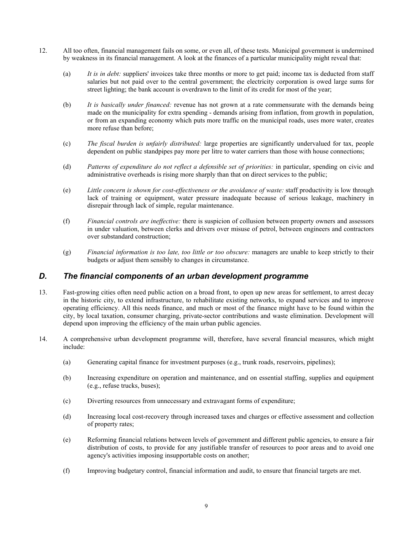- 12. All too often, financial management fails on some, or even all, of these tests. Municipal government is undermined by weakness in its financial management. A look at the finances of a particular municipality might reveal that:
	- (a) *It is in debt:* suppliers' invoices take three months or more to get paid; income tax is deducted from staff salaries but not paid over to the central government; the electricity corporation is owed large sums for street lighting; the bank account is overdrawn to the limit of its credit for most of the year;
	- (b) *It is basically under financed:* revenue has not grown at a rate commensurate with the demands being made on the municipality for extra spending - demands arising from inflation, from growth in population, or from an expanding economy which puts more traffic on the municipal roads, uses more water, creates more refuse than before;
	- (c) *The fiscal burden is unfairly distributed:* large properties are significantly undervalued for tax, people dependent on public standpipes pay more per litre to water carriers than those with house connections;
	- (d) *Patterns of expenditure do not reflect a defensible set of priorities:* in particular, spending on civic and administrative overheads is rising more sharply than that on direct services to the public;
	- (e) *Little concern is shown for cost-effectiveness or the avoidance of waste:* staff productivity is low through lack of training or equipment, water pressure inadequate because of serious leakage, machinery in disrepair through lack of simple, regular maintenance.
	- (f) *Financial controls are ineffective:* there is suspicion of collusion between property owners and assessors in under valuation, between clerks and drivers over misuse of petrol, between engineers and contractors over substandard construction;
	- (g) *Financial information is too late, too little or too obscure:* managers are unable to keep strictly to their budgets or adjust them sensibly to changes in circumstance.

## *D. The financial components of an urban development programme*

- 13. Fast-growing cities often need public action on a broad front, to open up new areas for settlement, to arrest decay in the historic city, to extend infrastructure, to rehabilitate existing networks, to expand services and to improve operating efficiency. All this needs finance, and much or most of the finance might have to be found within the city, by local taxation, consumer charging, private-sector contributions and waste elimination. Development will depend upon improving the efficiency of the main urban public agencies.
- 14. A comprehensive urban development programme will, therefore, have several financial measures, which might include:
	- (a) Generating capital finance for investment purposes (e.g., trunk roads, reservoirs, pipelines);
	- (b) Increasing expenditure on operation and maintenance, and on essential staffing, supplies and equipment (e.g., refuse trucks, buses);
	- (c) Diverting resources from unnecessary and extravagant forms of expenditure;
	- (d) Increasing local cost-recovery through increased taxes and charges or effective assessment and collection of property rates;
	- (e) Reforming financial relations between levels of government and different public agencies, to ensure a fair distribution of costs, to provide for any justifiable transfer of resources to poor areas and to avoid one agency's activities imposing insupportable costs on another;
	- (f) Improving budgetary control, financial information and audit, to ensure that financial targets are met.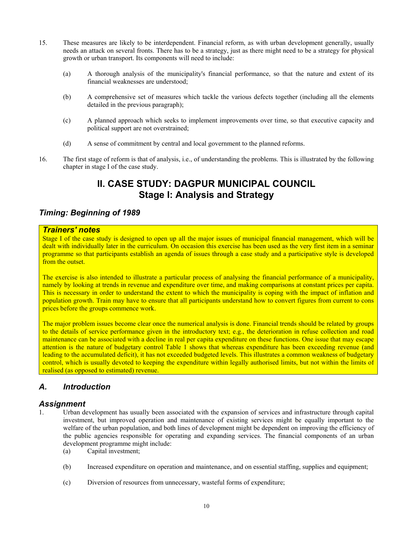- 15. These measures are likely to be interdependent. Financial reform, as with urban development generally, usually needs an attack on several fronts. There has to be a strategy, just as there might need to be a strategy for physical growth or urban transport. Its components will need to include:
	- (a) A thorough analysis of the municipality's financial performance, so that the nature and extent of its financial weaknesses are understood;
	- (b) A comprehensive set of measures which tackle the various defects together (including all the elements detailed in the previous paragraph);
	- (c) A planned approach which seeks to implement improvements over time, so that executive capacity and political support are not overstrained;
	- (d) A sense of commitment by central and local government to the planned reforms.
- 16. The first stage of reform is that of analysis, i.e., of understanding the problems. This is illustrated by the following chapter in stage I of the case study.

## **II. CASE STUDY: DAGPUR MUNICIPAL COUNCIL Stage I: Analysis and Strategy**

## *Timing: Beginning of 1989*

#### *Trainers' notes*

Stage I of the case study is designed to open up all the major issues of municipal financial management, which will be dealt with individually later in the curriculum. On occasion this exercise has been used as the very first item in a seminar programme so that participants establish an agenda of issues through a case study and a participative style is developed from the outset.

The exercise is also intended to illustrate a particular process of analysing the financial performance of a municipality, namely by looking at trends in revenue and expenditure over time, and making comparisons at constant prices per capita. This is necessary in order to understand the extent to which the municipality is coping with the impact of inflation and population growth. Train may have to ensure that all participants understand how to convert figures from current to cons prices before the groups commence work.

The major problem issues become clear once the numerical analysis is done. Financial trends should be related by groups to the details of service performance given in the introductory text; e.g., the deterioration in refuse collection and road maintenance can be associated with a decline in real per capita expenditure on these functions. One issue that may escape attention is the nature of budgetary control Table 1 shows that whereas expenditure has been exceeding revenue (and leading to the accumulated deficit), it has not exceeded budgeted levels. This illustrates a common weakness of budgetary control, which is usually devoted to keeping the expenditure within legally authorised limits, but not within the limits of realised (as opposed to estimated) revenue.

## *A. Introduction*

#### *Assignment*

- 1. Urban development has usually been associated with the expansion of services and infrastructure through capital investment, but improved operation and maintenance of existing services might be equally important to the welfare of the urban population, and both lines of development might be dependent on improving the efficiency of the public agencies responsible for operating and expanding services. The financial components of an urban development programme might include:
	- (a) Capital investment;
	- (b) Increased expenditure on operation and maintenance, and on essential staffing, supplies and equipment;
	- (c) Diversion of resources from unnecessary, wasteful forms of expenditure;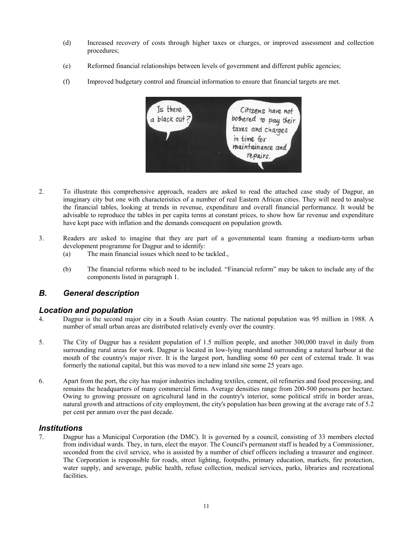- (d) Increased recovery of costs through higher taxes or charges, or improved assessment and collection procedures;
- (e) Reformed financial relationships between levels of government and different public agencies;
- (f) Improved budgetary control and financial information to ensure that financial targets are met.



- 2. To illustrate this comprehensive approach, readers are asked to read the attached case study of Dagpur, an imaginary city but one with characteristics of a number of real Eastern African cities. They will need to analyse the financial tables, looking at trends in revenue, expenditure and overall financial performance. It would be advisable to reproduce the tables in per capita terms at constant prices, to show how far revenue and expenditure have kept pace with inflation and the demands consequent on population growth.
- 3. Readers are asked to imagine that they are part of a governmental team framing a medium-term urban development programme for Dagpur and to identify:
	- (a) The main financial issues which need to be tackled.,
	- (b) The financial reforms which need to be included. "Financial reform" may be taken to include any of the components listed in paragraph 1.

## *B. General description*

#### *Location and population*

- 4. Dagpur is the second major city in a South Asian country. The national population was 95 million in 1988. A number of small urban areas are distributed relatively evenly over the country.
- 5. The City of Dagpur has a resident population of 1.5 million people, and another 300,000 travel in daily from surrounding rural areas for work. Dagpur is located in low-lying marshland surrounding a natural harbour at the mouth of the country's major river. It is the largest port, handling some 60 per cent of external trade. It was formerly the national capital, but this was moved to a new inland site some 25 years ago.
- 6. Apart from the port, the city has major industries including textiles, cement, oil refineries and food processing, and remains the headquarters of many commercial firms. Average densities range from 200-500 persons per hectare. Owing to growing pressure on agricultural land in the country's interior, some political strife in border areas, natural growth and attractions of city employment, the city's population has been growing at the average rate of 5.2 per cent per annum over the past decade.

## *Institutions*

7. Dagpur has a Municipal Corporation (the DMC). It is governed by a council, consisting of 33 members elected from individual wards. They, in turn, elect the mayor. The Council's permanent staff is headed by a Commissioner, seconded from the civil service, who is assisted by a number of chief officers including a treasurer and engineer. The Corporation is responsible for roads, street lighting, footpaths, primary education, markets, fire protection, water supply, and sewerage, public health, refuse collection, medical services, parks, libraries and recreational facilities.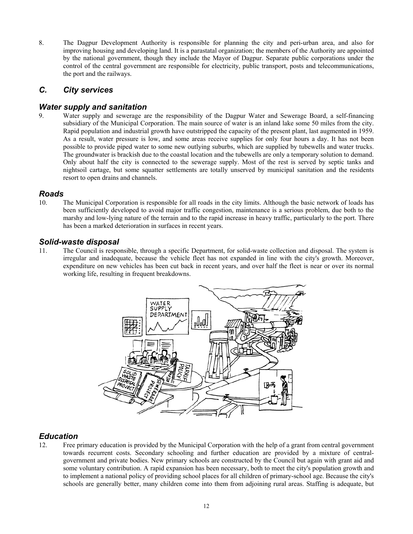8. The Dagpur Development Authority is responsible for planning the city and peri-urban area, and also for improving housing and developing land. It is a parastatal organization; the members of the Authority are appointed by the national government, though they include the Mayor of Dagpur. Separate public corporations under the control of the central government are responsible for electricity, public transport, posts and telecommunications, the port and the railways.

## *C. City services*

## *Water supply and sanitation*

9. Water supply and sewerage are the responsibility of the Dagpur Water and Sewerage Board, a self-financing subsidiary of the Municipal Corporation. The main source of water is an inland lake some 50 miles from the city. Rapid population and industrial growth have outstripped the capacity of the present plant, last augmented in 1959. As a result, water pressure is low, and some areas receive supplies for only four hours a day. It has not been possible to provide piped water to some new outlying suburbs, which are supplied by tubewells and water trucks. The groundwater is brackish due to the coastal location and the tubewells are only a temporary solution to demand. Only about half the city is connected to the sewerage supply. Most of the rest is served by septic tanks and nightsoil cartage, but some squatter settlements are totally unserved by municipal sanitation and the residents resort to open drains and channels.

#### *Roads*

10. The Municipal Corporation is responsible for all roads in the city limits. Although the basic network of loads has been sufficiently developed to avoid major traffic congestion, maintenance is a serious problem, due both to the marshy and low-lying nature of the terrain and to the rapid increase in heavy traffic, particularly to the port. There has been a marked deterioration in surfaces in recent years.

#### *Solid-waste disposal*

11. The Council is responsible, through a specific Department, for solid-waste collection and disposal. The system is irregular and inadequate, because the vehicle fleet has not expanded in line with the city's growth. Moreover, expenditure on new vehicles has been cut back in recent years, and over half the fleet is near or over its normal working life, resulting in frequent breakdowns.



## *Education*

12. Free primary education is provided by the Municipal Corporation with the help of a grant from central government towards recurrent costs. Secondary schooling and further education are provided by a mixture of centralgovernment and private bodies. New primary schools are constructed by the Council but again with grant aid and some voluntary contribution. A rapid expansion has been necessary, both to meet the city's population growth and to implement a national policy of providing school places for all children of primary-school age. Because the city's schools are generally better, many children come into them from adjoining rural areas. Staffing is adequate, but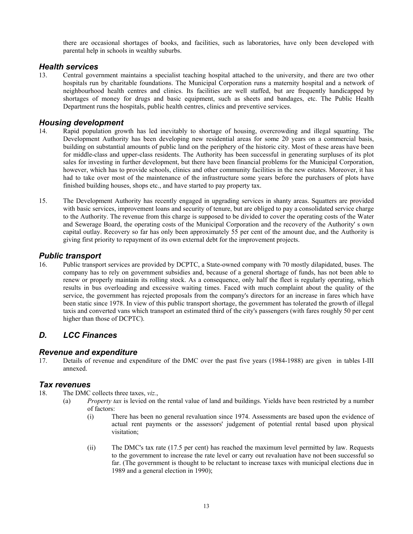there are occasional shortages of books, and facilities, such as laboratories, have only been developed with parental help in schools in wealthy suburbs.

#### *Health services*

13. Central government maintains a specialist teaching hospital attached to the university, and there are two other hospitals run by charitable foundations. The Municipal Corporation runs a maternity hospital and a network of neighbourhood health centres and clinics. Its facilities are well staffed, but are frequently handicapped by shortages of money for drugs and basic equipment, such as sheets and bandages, etc. The Public Health Department runs the hospitals, public health centres, clinics and preventive services.

#### *Housing development*

- 14. Rapid population growth has led inevitably to shortage of housing, overcrowding and illegal squatting. The Development Authority has been developing new residential areas for some 20 years on a commercial basis, building on substantial amounts of public land on the periphery of the historic city. Most of these areas have been for middle-class and upper-class residents. The Authority has been successful in generating surpluses of its plot sales for investing in further development, but there have been financial problems for the Municipal Corporation, however, which has to provide schools, clinics and other community facilities in the new estates. Moreover, it has had to take over most of the maintenance of the infrastructure some years before the purchasers of plots have finished building houses, shops etc., and have started to pay property tax.
- 15. The Development Authority has recently engaged in upgrading services in shanty areas. Squatters are provided with basic services, improvement loans and security of tenure, but are obliged to pay a consolidated service charge to the Authority. The revenue from this charge is supposed to be divided to cover the operating costs of the Water and Sewerage Board, the operating costs of the Municipal Corporation and the recovery of the Authority' s own capital outlay. Recovery so far has only been approximately 55 per cent of the amount due, and the Authority is giving first priority to repayment of its own external debt for the improvement projects.

#### *Public transport*

16. Public transport services are provided by DCPTC, a State-owned company with 70 mostly dilapidated, buses. The company has to rely on government subsidies and, because of a general shortage of funds, has not been able to renew or properly maintain its rolling stock. As a consequence, only half the fleet is regularly operating, which results in bus overloading and excessive waiting times. Faced with much complaint about the quality of the service, the government has rejected proposals from the company's directors for an increase in fares which have been static since 1978. In view of this public transport shortage, the government has tolerated the growth of illegal taxis and converted vans which transport an estimated third of the city's passengers (with fares roughly 50 per cent higher than those of DCPTC).

## *D. LCC Finances*

#### *Revenue and expenditure*

17. Details of revenue and expenditure of the DMC over the past five years (1984-1988) are given in tables I-III annexed.

#### *Tax revenues*

- 18. The DMC collects three taxes, *viz.*,
	- (a) *Property tax* is levied on the rental value of land and buildings. Yields have been restricted by a number of factors:
		- (i) There has been no general revaluation since 1974. Assessments are based upon the evidence of actual rent payments or the assessors' judgement of potential rental based upon physical visitation;
		- (ii) The DMC's tax rate (17.5 per cent) has reached the maximum level permitted by law. Requests to the government to increase the rate level or carry out revaluation have not been successful so far. (The government is thought to be reluctant to increase taxes with municipal elections due in 1989 and a general election in 1990);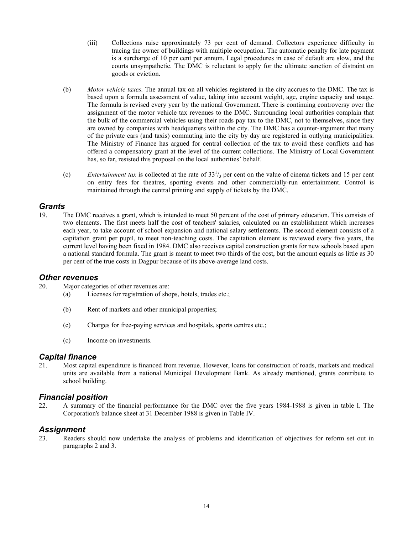- (iii) Collections raise approximately 73 per cent of demand. Collectors experience difficulty in tracing the owner of buildings with multiple occupation. The automatic penalty for late payment is a surcharge of 10 per cent per annum. Legal procedures in case of default are slow, and the courts unsympathetic. The DMC is reluctant to apply for the ultimate sanction of distraint on goods or eviction.
- (b) *Motor vehicle taxes.* The annual tax on all vehicles registered in the city accrues to the DMC. The tax is based upon a formula assessment of value, taking into account weight, age, engine capacity and usage. The formula is revised every year by the national Government. There is continuing controversy over the assignment of the motor vehicle tax revenues to the DMC. Surrounding local authorities complain that the bulk of the commercial vehicles using their roads pay tax to the DMC, not to themselves, since they are owned by companies with headquarters within the city. The DMC has a counter-argument that many of the private cars (and taxis) commuting into the city by day are registered in outlying municipalities. The Ministry of Finance has argued for central collection of the tax to avoid these conflicts and has offered a compensatory grant at the level of the current collections. The Ministry of Local Government has, so far, resisted this proposal on the local authorities' behalf.
- (c) Entertainment tax is collected at the rate of  $33<sup>1</sup>/3$  per cent on the value of cinema tickets and 15 per cent on entry fees for theatres, sporting events and other commercially-run entertainment. Control is maintained through the central printing and supply of tickets by the DMC.

#### *Grants*

19. The DMC receives a grant, which is intended to meet 50 percent of the cost of primary education. This consists of two elements. The first meets half the cost of teachers' salaries, calculated on an establishment which increases each year, to take account of school expansion and national salary settlements. The second element consists of a capitation grant per pupil, to meet non-teaching costs. The capitation element is reviewed every five years, the current level having been fixed in 1984. DMC also receives capital construction grants for new schools based upon a national standard formula. The grant is meant to meet two thirds of the cost, but the amount equals as little as 30 per cent of the true costs in Dagpur because of its above-average land costs.

#### *Other revenues*

- 20. Major categories of other revenues are:
	- (a) Licenses for registration of shops, hotels, trades etc.;
	- (b) Rent of markets and other municipal properties;
	- (c) Charges for free-paying services and hospitals, sports centres etc.;
	- (c) Income on investments.

#### *Capital finance*

21. Most capital expenditure is financed from revenue. However, loans for construction of roads, markets and medical units are available from a national Municipal Development Bank. As already mentioned, grants contribute to school building.

#### *Financial position*

22. A summary of the financial performance for the DMC over the five years 1984-1988 is given in table I. The Corporation's balance sheet at 31 December 1988 is given in Table IV.

## *Assignment*

23. Readers should now undertake the analysis of problems and identification of objectives for reform set out in paragraphs 2 and 3.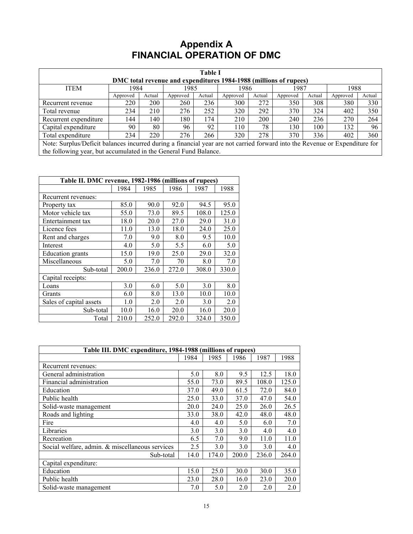## **Appendix A FINANCIAL OPERATION OF DMC**

| <b>Table I</b>                                                                                                              |                                                                  |            |          |        |          |        |          |        |          |        |
|-----------------------------------------------------------------------------------------------------------------------------|------------------------------------------------------------------|------------|----------|--------|----------|--------|----------|--------|----------|--------|
| DMC total revenue and expenditures 1984-1988 (millions of rupees)                                                           |                                                                  |            |          |        |          |        |          |        |          |        |
| <b>ITEM</b>                                                                                                                 | 1984                                                             |            | 1985     |        | 1986     |        | 1987     |        | 1988     |        |
|                                                                                                                             | Approved                                                         | Actual     | Approved | Actual | Approved | Actual | Approved | Actual | Approved | Actual |
| Recurrent revenue                                                                                                           | 220                                                              | <b>200</b> | 260      | 236    | 300      | 272    | 350      | 308    | 380      | 330    |
| Total revenue                                                                                                               | 234                                                              | 210        | 276      | 252    | 320      | 292    | 370      | 324    | 402      | 350    |
| Recurrent expenditure                                                                                                       | 144                                                              | 140        | 180      | 174    | 210      | 200    | 240      | 236    | 270      | 264    |
| 92<br>78<br>96<br>90<br>80<br>130<br>100<br>132<br>96<br>110<br>Capital expenditure                                         |                                                                  |            |          |        |          |        |          |        |          |        |
| 320<br>278<br>370<br>234<br>220<br>276<br>336<br>402<br>360<br>Total expenditure<br>266                                     |                                                                  |            |          |        |          |        |          |        |          |        |
| Note: Surplus/Deficit balances incurred during a financial year are not carried forward into the Revenue or Expenditure for |                                                                  |            |          |        |          |        |          |        |          |        |
|                                                                                                                             | the following year, but accumulated in the General Fund Balance. |            |          |        |          |        |          |        |          |        |

| Table II. DMC revenue, 1982-1986 (millions of rupees) |       |       |       |       |       |  |
|-------------------------------------------------------|-------|-------|-------|-------|-------|--|
|                                                       | 1984  | 1985  | 1986  | 1987  | 1988  |  |
| Recurrent revenues:                                   |       |       |       |       |       |  |
| Property tax                                          | 85.0  | 90.0  | 92.0  | 94.5  | 95.0  |  |
| Motor vehicle tax                                     | 55.0  | 73.0  | 89.5  | 108.0 | 125.0 |  |
| Entertainment tax                                     | 18.0  | 20.0  | 27.0  | 29.0  | 31.0  |  |
| Licence fees                                          | 11.0  | 13.0  | 18.0  | 24.0  | 25.0  |  |
| Rent and charges                                      | 7.0   | 9.0   | 8.0   | 9.5   | 10.0  |  |
| Interest                                              | 4.0   | 5.0   | 5.5   | 6.0   | 5.0   |  |
| <b>Education</b> grants                               | 15.0  | 19.0  | 25.0  | 29.0  | 32.0  |  |
| Miscellaneous                                         | 5.0   | 7.0   | 70    | 8.0   | 7.0   |  |
| Sub-total                                             | 200.0 | 236.0 | 272.0 | 308.0 | 330.0 |  |
| Capital receipts:                                     |       |       |       |       |       |  |
| Loans                                                 | 3.0   | 6.0   | 5.0   | 3.0   | 8.0   |  |
| Grants                                                | 6.0   | 8.0   | 13.0  | 10.0  | 10.0  |  |
| Sales of capital assets                               | 1.0   | 2.0   | 2.0   | 3.0   | 2.0   |  |
| Sub-total                                             | 10.0  | 16.0  | 20.0  | 16.0  | 20.0  |  |
| Total                                                 | 210.0 | 252.0 | 292.0 | 324.0 | 350.0 |  |

| Table III. DMC expenditure, 1984-1988 (millions of rupees) |      |       |       |       |       |
|------------------------------------------------------------|------|-------|-------|-------|-------|
|                                                            | 1984 | 1985  | 1986  | 1987  | 1988  |
| Recurrent revenues:                                        |      |       |       |       |       |
| General administration                                     | 5.0  | 8.0   | 9.5   | 12.5  | 18.0  |
| Financial administration                                   | 55.0 | 73.0  | 89.5  | 108.0 | 125.0 |
| Education                                                  | 37.0 | 49.0  | 61.5  | 72.0  | 84.0  |
| Public health                                              | 25.0 | 33.0  | 37.0  | 47.0  | 54.0  |
| Solid-waste management                                     | 20.0 | 24.0  | 25.0  | 26.0  | 26.5  |
| Roads and lighting                                         | 33.0 | 38.0  | 42.0  | 48.0  | 48.0  |
| Fire                                                       | 4.0  | 4.0   | 5.0   | 6.0   | 7.0   |
| Libraries                                                  | 3.0  | 3.0   | 3.0   | 4.0   | 4.0   |
| Recreation                                                 | 6.5  | 7.0   | 9.0   | 11.0  | 11.0  |
| Social welfare, admin. & miscellaneous services            | 2.5  | 3.0   | 3.0   | 3.0   | 4.0   |
| Sub-total                                                  | 14.0 | 174.0 | 200.0 | 236.0 | 264.0 |
| Capital expenditure:                                       |      |       |       |       |       |
| Education                                                  | 15.0 | 25.0  | 30.0  | 30.0  | 35.0  |
| Public health                                              | 23.0 | 28.0  | 16.0  | 23.0  | 20.0  |
| Solid-waste management                                     | 7.0  | 5.0   | 2.0   | 2.0   | 2.0   |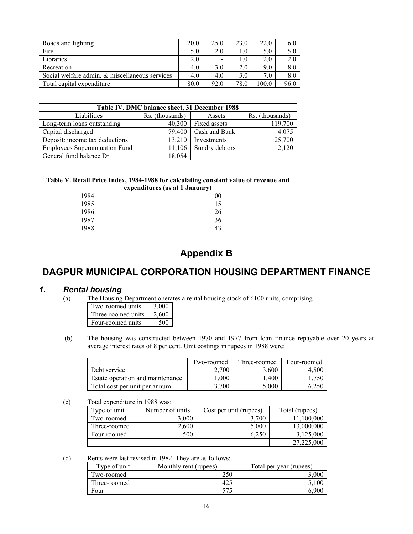| Roads and lighting                             | 20.0 | 25.0 | 23.0 | 22.0  | 16.0 |
|------------------------------------------------|------|------|------|-------|------|
| Fire                                           | 5.0  | 2.0  | 1.0  | 5.0   | 5.0  |
| Libraries                                      | 2.0  | -    | 1.0  | 2.0   | 2.0  |
| Recreation                                     | 4.0  | 3.0  | 2.0  | 9.0   | 8.0  |
| Social welfare admin. & miscellaneous services | 4.0  | 4.0  | 3.0  | 7.0   | 8.0  |
| Total capital expenditure                      | 80.0 | 92.0 | 78.0 | 100.0 | 96.0 |

| Table IV. DMC balance sheet, 31 December 1988 |                 |                |                 |  |  |  |
|-----------------------------------------------|-----------------|----------------|-----------------|--|--|--|
| Liabilities                                   | Rs. (thousands) | Assets         | Rs. (thousands) |  |  |  |
| Long-term loans outstanding                   | 40,300          | Fixed assets   | 119,700         |  |  |  |
| Capital discharged                            | 79,400          | Cash and Bank  | 4.075           |  |  |  |
| Deposit: income tax deductions                | 13.210          | Investments    | 25,700          |  |  |  |
| <b>Employees Superannuation Fund</b>          | 11.106          | Sundry debtors | 2,120           |  |  |  |
| General fund balance Dr                       | 18,054          |                |                 |  |  |  |

| Table V. Retail Price Index, 1984-1988 for calculating constant value of revenue and<br>expenditures (as at 1 January) |     |  |  |  |
|------------------------------------------------------------------------------------------------------------------------|-----|--|--|--|
| 1984                                                                                                                   | 100 |  |  |  |
| 1985                                                                                                                   | 115 |  |  |  |
| 1986                                                                                                                   | 126 |  |  |  |
| 1987                                                                                                                   | 136 |  |  |  |
| $\Omega$                                                                                                               | 143 |  |  |  |

# **Appendix B**

# **DAGPUR MUNICIPAL CORPORATION HOUSING DEPARTMENT FINANCE**

## *1. Rental housing*

(a) The Housing Department operates a rental housing stock of 6100 units, comprising

| Two-roomed units   | 3,000 |
|--------------------|-------|
| Three-roomed units | 2.600 |
| Four-roomed units  | 500   |

(b) The housing was constructed between 1970 and 1977 from loan finance repayable over 20 years at average interest rates of 8 per cent. Unit costings in rupees in 1988 were:

|                                  | Two-roomed | Three-roomed | Four-roomed |
|----------------------------------|------------|--------------|-------------|
| Debt service                     | 2.700      | 3.600        | 4.500       |
| Estate operation and maintenance | L.000      | .400         | .750        |
| Total cost per unit per annum    | 3.700      | 5.000        |             |

(c) Total expenditure in 1988 was:

| Type of unit | Number of units | Cost per unit (rupees) | Total (rupees) |
|--------------|-----------------|------------------------|----------------|
| Two-roomed   | 3.000           | 3.700                  | 11.100.000     |
| Three-roomed | 2.600           | 5,000                  | 13,000,000     |
| Four-roomed  | 500             | 6.250                  | 3.125,000      |
|              |                 |                        | 27,225,000     |

(d) Rents were last revised in 1982. They are as follows:

| Type of unit | Monthly rent (rupees) | Total per year (rupees) |
|--------------|-----------------------|-------------------------|
| Two-roomed   | 250                   |                         |
| Three-roomed |                       |                         |
| Four         |                       |                         |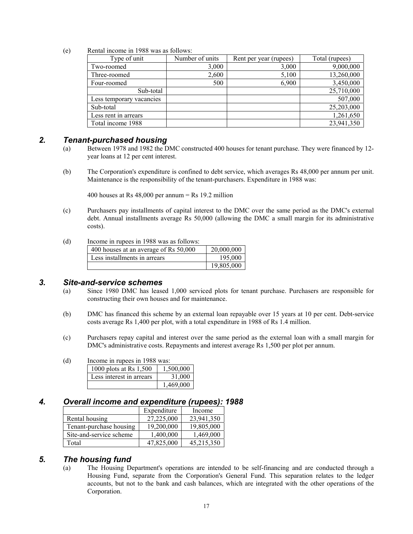(e) Rental income in 1988 was as follows:

| Type of unit             | Number of units | Rent per year (rupees) | Total (rupees) |
|--------------------------|-----------------|------------------------|----------------|
| Two-roomed               | 3,000           | 3,000                  | 9,000,000      |
| Three-roomed             | 2,600           | 5,100                  | 13,260,000     |
| Four-roomed              | 500             | 6,900                  | 3,450,000      |
| Sub-total                |                 |                        | 25,710,000     |
| Less temporary vacancies |                 |                        | 507,000        |
| Sub-total                |                 |                        | 25,203,000     |
| Less rent in arrears     |                 |                        | 1,261,650      |
| Total income 1988        |                 |                        | 23,941,350     |

#### *2. Tenant-purchased housing*

- (a) Between 1978 and 1982 the DMC constructed 400 houses for tenant purchase. They were financed by 12 year loans at 12 per cent interest.
- (b) The Corporation's expenditure is confined to debt service, which averages Rs 48,000 per annum per unit. Maintenance is the responsibility of the tenant-purchasers. Expenditure in 1988 was:

400 houses at Rs  $48,000$  per annum = Rs 19.2 million

- (c) Purchasers pay installments of capital interest to the DMC over the same period as the DMC's external debt. Annual installments average Rs 50,000 (allowing the DMC a small margin for its administrative costs).
- (d) Income in rupees in 1988 was as follows:

| 400 houses at an average of Rs 50,000 | 20,000,000 |
|---------------------------------------|------------|
| Less installments in arrears          | 195,000    |
|                                       | 19,805,000 |

#### *3. Site-and-service schemes*

- (a) Since 1980 DMC has leased 1,000 serviced plots for tenant purchase. Purchasers are responsible for constructing their own houses and for maintenance.
- (b) DMC has financed this scheme by an external loan repayable over 15 years at 10 per cent. Debt-service costs average Rs 1,400 per plot, with a total expenditure in 1988 of Rs 1.4 million.
- (c) Purchasers repay capital and interest over the same period as the external loan with a small margin for DMC's administrative costs. Repayments and interest average Rs 1,500 per plot per annum.

| (d) | Income in rupees in 1988 was: |           |  |  |
|-----|-------------------------------|-----------|--|--|
|     | 1000 plots at Rs 1,500        | 1,500,000 |  |  |
|     | Less interest in arrears      | 31,000    |  |  |
|     |                               | 1,469,000 |  |  |

### *4. Overall income and expenditure (rupees): 1988*

|                         | Expenditure | Income     |
|-------------------------|-------------|------------|
| Rental housing          | 27,225,000  | 23,941,350 |
| Tenant-purchase housing | 19,200,000  | 19,805,000 |
| Site-and-service scheme | 1,400,000   | 1,469,000  |
| Total                   | 47,825,000  | 45,215,350 |

## *5. The housing fund*

(a) The Housing Department's operations are intended to be self-financing and are conducted through a Housing Fund, separate from the Corporation's General Fund. This separation relates to the ledger accounts, but not to the bank and cash balances, which are integrated with the other operations of the Corporation.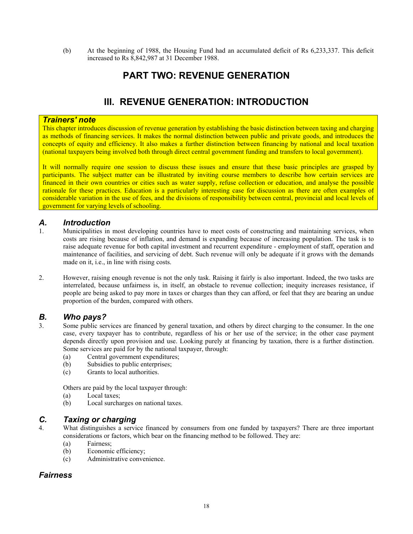(b) At the beginning of 1988, the Housing Fund had an accumulated deficit of Rs 6,233,337. This deficit increased to Rs 8,842,987 at 31 December 1988.

## **PART TWO: REVENUE GENERATION**

# **III. REVENUE GENERATION: INTRODUCTION**

#### *Trainers' note*

This chapter introduces discussion of revenue generation by establishing the basic distinction between taxing and charging as methods of financing services. It makes the normal distinction between public and private goods, and introduces the concepts of equity and efficiency. It also makes a further distinction between financing by national and local taxation (national taxpayers being involved both through direct central government funding and transfers to local government).

It will normally require one session to discuss these issues and ensure that these basic principles are grasped by participants. The subject matter can be illustrated by inviting course members to describe how certain services are financed in their own countries or cities such as water supply, refuse collection or education, and analyse the possible rationale for these practices. Education is a particularly interesting case for discussion as there are often examples of considerable variation in the use of fees, and the divisions of responsibility between central, provincial and local levels of government for varying levels of schooling.

#### *A. Introduction*

- 1. Municipalities in most developing countries have to meet costs of constructing and maintaining services, when costs are rising because of inflation, and demand is expanding because of increasing population. The task is to raise adequate revenue for both capital investment and recurrent expenditure - employment of staff, operation and maintenance of facilities, and servicing of debt. Such revenue will only be adequate if it grows with the demands made on it, i.e., in line with rising costs.
- 2. However, raising enough revenue is not the only task. Raising it fairly is also important. Indeed, the two tasks are interrelated, because unfairness is, in itself, an obstacle to revenue collection; inequity increases resistance, if people are being asked to pay more in taxes or charges than they can afford, or feel that they are bearing an undue proportion of the burden, compared with others.

## *B. Who pays?*

- 3. Some public services are financed by general taxation, and others by direct charging to the consumer. In the one case, every taxpayer has to contribute, regardless of his or her use of the service; in the other case payment depends directly upon provision and use. Looking purely at financing by taxation, there is a further distinction. Some services are paid for by the national taxpayer, through:
	- (a) Central government expenditures;
	- (b) Subsidies to public enterprises;
	- (c) Grants to local authorities.

Others are paid by the local taxpayer through:

- (a) Local taxes;
- (b) Local surcharges on national taxes.

#### *C. Taxing or charging*

- 4. What distinguishes a service financed by consumers from one funded by taxpayers? There are three important considerations or factors, which bear on the financing method to be followed. They are:
	- (a) Fairness;
	- (b) Economic efficiency;
	- (c) Administrative convenience.

## *Fairness*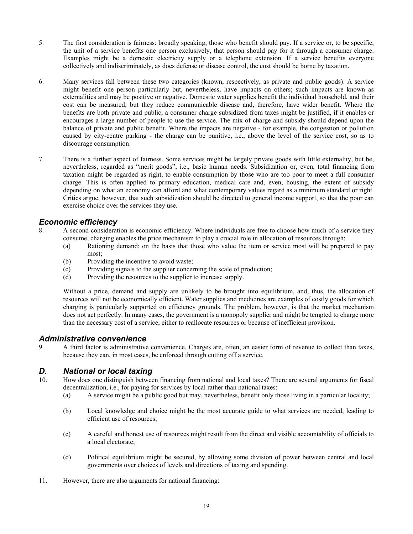- 5. The first consideration is fairness: broadly speaking, those who benefit should pay. If a service or, to be specific, the unit of a service benefits one person exclusively, that person should pay for it through a consumer charge. Examples might be a domestic electricity supply or a telephone extension. If a service benefits everyone collectively and indiscriminately, as does defense or disease control, the cost should be borne by taxation.
- 6. Many services fall between these two categories (known, respectively, as private and public goods). A service might benefit one person particularly but, nevertheless, have impacts on others; such impacts are known as externalities and may be positive or negative. Domestic water supplies benefit the individual household, and their cost can be measured; but they reduce communicable disease and, therefore, have wider benefit. Where the benefits are both private and public, a consumer charge subsidized from taxes might be justified, if it enables or encourages a large number of people to use the service. The mix of charge and subsidy should depend upon the balance of private and public benefit. Where the impacts are negative - for example, the congestion or pollution caused by city-centre parking - the charge can be punitive, i.e., above the level of the service cost, so as to discourage consumption.
- 7. There is a further aspect of fairness. Some services might be largely private goods with little externality, but be, nevertheless, regarded as "merit goods", i.e., basic human needs. Subsidization or, even, total financing from taxation might be regarded as right, to enable consumption by those who are too poor to meet a full consumer charge. This is often applied to primary education, medical care and, even, housing, the extent of subsidy depending on what an economy can afford and what contemporary values regard as a minimum standard or right. Critics argue, however, that such subsidization should be directed to general income support, so that the poor can exercise choice over the services they use.

## *Economic efficiency*

- 8. A second consideration is economic efficiency. Where individuals are free to choose how much of a service they consume, charging enables the price mechanism to play a crucial role in allocation of resources through:
	- (a) Rationing demand: on the basis that those who value the item or service most will be prepared to pay most;
	- (b) Providing the incentive to avoid waste;
	- (c) Providing signals to the supplier concerning the scale of production;
	- (d) Providing the resources to the supplier to increase supply.

Without a price, demand and supply are unlikely to be brought into equilibrium, and, thus, the allocation of resources will not be economically efficient. Water supplies and medicines are examples of costly goods for which charging is particularly supported on efficiency grounds. The problem, however, is that the market mechanism does not act perfectly. In many cases, the government is a monopoly supplier and might be tempted to charge more than the necessary cost of a service, either to reallocate resources or because of inefficient provision.

## *Administrative convenience*

9. A third factor is administrative convenience. Charges are, often, an easier form of revenue to collect than taxes, because they can, in most cases, be enforced through cutting off a service.

## *D. National or local taxing*

- 10. How does one distinguish between financing from national and local taxes? There are several arguments for fiscal decentralization, i.e., for paying for services by local rather than national taxes:
	- (a) A service might be a public good but may, nevertheless, benefit only those living in a particular locality;
	- (b) Local knowledge and choice might be the most accurate guide to what services are needed, leading to efficient use of resources;
	- (c) A careful and honest use of resources might result from the direct and visible accountability of officials to a local electorate;
	- (d) Political equilibrium might be secured, by allowing some division of power between central and local governments over choices of levels and directions of taxing and spending.
- 11. However, there are also arguments for national financing: